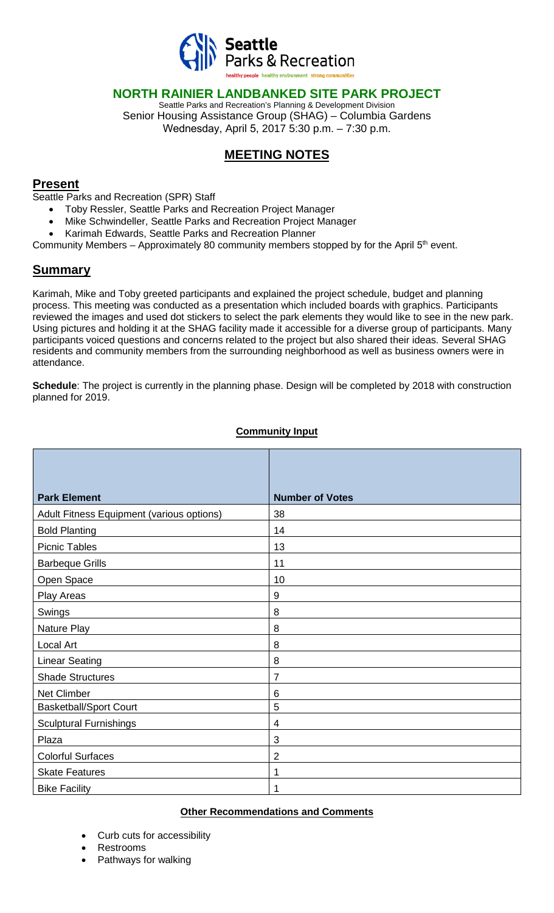

### **NORTH RAINIER LANDBANKED SITE PARK PROJECT**

Seattle Parks and Recreation's Planning & Development Division Senior Housing Assistance Group (SHAG) – Columbia Gardens Wednesday, April 5, 2017 5:30 p.m. – 7:30 p.m.

# **MEETING NOTES**

#### **Present**

Seattle Parks and Recreation (SPR) Staff

- Toby Ressler, Seattle Parks and Recreation Project Manager
- Mike Schwindeller, Seattle Parks and Recreation Project Manager
- Karimah Edwards, Seattle Parks and Recreation Planner

Community Members - Approximately 80 community members stopped by for the April 5<sup>th</sup> event.

## **Summary**

Karimah, Mike and Toby greeted participants and explained the project schedule, budget and planning process. This meeting was conducted as a presentation which included boards with graphics. Participants reviewed the images and used dot stickers to select the park elements they would like to see in the new park. Using pictures and holding it at the SHAG facility made it accessible for a diverse group of participants. Many participants voiced questions and concerns related to the project but also shared their ideas. Several SHAG residents and community members from the surrounding neighborhood as well as business owners were in attendance.

**Schedule**: The project is currently in the planning phase. Design will be completed by 2018 with construction planned for 2019.

| <b>Park Element</b>                       | <b>Number of Votes</b> |
|-------------------------------------------|------------------------|
| Adult Fitness Equipment (various options) | 38                     |
| <b>Bold Planting</b>                      | 14                     |
| <b>Picnic Tables</b>                      | 13                     |
| <b>Barbeque Grills</b>                    | 11                     |
| Open Space                                | 10                     |
| Play Areas                                | $9\,$                  |
| Swings                                    | 8                      |
| Nature Play                               | 8                      |
| Local Art                                 | 8                      |
| <b>Linear Seating</b>                     | 8                      |
| <b>Shade Structures</b>                   | 7                      |
| Net Climber                               | 6                      |
| <b>Basketball/Sport Court</b>             | 5                      |
| <b>Sculptural Furnishings</b>             | $\overline{4}$         |
| Plaza                                     | 3                      |
| <b>Colorful Surfaces</b>                  | $\overline{2}$         |
| <b>Skate Features</b>                     | 1                      |
| <b>Bike Facility</b>                      | 1                      |

#### **Community Input**

#### **Other Recommendations and Comments**

- Curb cuts for accessibility
- Restrooms
- Pathways for walking